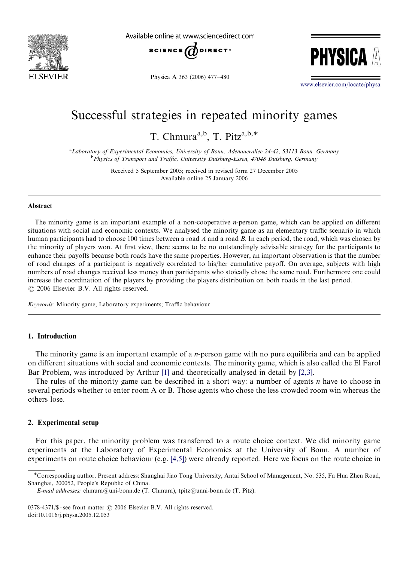

Available online at www sciencedirect com



Physica A 363 (2006) 477–480



<www.elsevier.com/locate/physa>

# Successful strategies in repeated minority games

T. Chmura<sup>a,b</sup>, T. Pitz<sup>a,b,\*</sup>

<sup>a</sup>Laboratory of Experimental Economics, University of Bonn, Adenauerallee 24-42, 53113 Bonn, Germany <sup>b</sup> Physics of Transport and Traffic, University Duisburg-Essen, 47048 Duisburg, Germany

> Received 5 September 2005; received in revised form 27 December 2005 Available online 25 January 2006

#### Abstract

The minority game is an important example of a non-cooperative n-person game, which can be applied on different situations with social and economic contexts. We analysed the minority game as an elementary traffic scenario in which human participants had to choose 100 times between a road A and a road B. In each period, the road, which was chosen by the minority of players won. At first view, there seems to be no outstandingly advisable strategy for the participants to enhance their payoffs because both roads have the same properties. However, an important observation is that the number of road changes of a participant is negatively correlated to his/her cumulative payoff. On average, subjects with high numbers of road changes received less money than participants who stoically chose the same road. Furthermore one could increase the coordination of the players by providing the players distribution on both roads in the last period.  $O$  2006 Elsevier B.V. All rights reserved.

Keywords: Minority game; Laboratory experiments; Traffic behaviour

# 1. Introduction

The minority game is an important example of a *n*-person game with no pure equilibria and can be applied on different situations with social and economic contexts. The minority game, which is also called the El Farol Bar Problem, was introduced by Arthur [\[1\]](#page-3-0) and theoretically analysed in detail by [\[2,3\]](#page-3-0).

The rules of the minority game can be described in a short way: a number of agents  $n$  have to choose in several periods whether to enter room A or B. Those agents who chose the less crowded room win whereas the others lose.

## 2. Experimental setup

For this paper, the minority problem was transferred to a route choice context. We did minority game experiments at the Laboratory of Experimental Economics at the University of Bonn. A number of experiments on route choice behaviour (e.g. [\[4,5\]](#page-3-0)) were already reported. Here we focus on the route choice in

Corresponding author. Present address: Shanghai Jiao Tong University, Antai School of Management, No. 535, Fa Hua Zhen Road, Shanghai, 200052, People's Republic of China.

E-mail addresses: chmura@uni-bonn.de (T. Chmura), tpitz@unni-bonn.de (T. Pitz).

<sup>0378-4371/\$ -</sup> see front matter  $\odot$  2006 Elsevier B.V. All rights reserved. doi:10.1016/j.physa.2005.12.053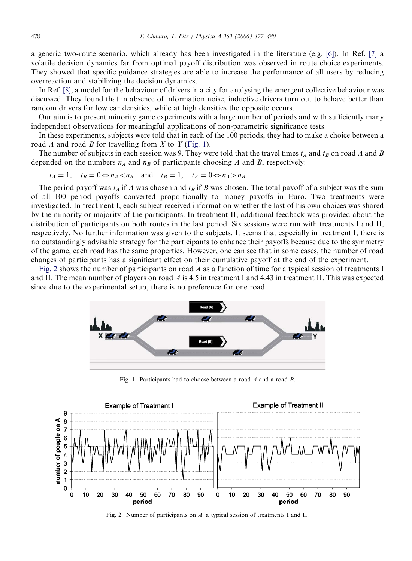a generic two-route scenario, which already has been investigated in the literature (e.g. [\[6\]\)](#page-3-0). In Ref. [\[7\]](#page-3-0) a volatile decision dynamics far from optimal payoff distribution was observed in route choice experiments. They showed that specific guidance strategies are able to increase the performance of all users by reducing overreaction and stabilizing the decision dynamics.

In Ref. [\[8\],](#page-3-0) a model for the behaviour of drivers in a city for analysing the emergent collective behaviour was discussed. They found that in absence of information noise, inductive drivers turn out to behave better than random drivers for low car densities, while at high densities the opposite occurs.

Our aim is to present minority game experiments with a large number of periods and with sufficiently many independent observations for meaningful applications of non-parametric significance tests.

In these experiments, subjects were told that in each of the 100 periods, they had to make a choice between a road  $A$  and road  $B$  for travelling from  $X$  to  $Y$  (Fig. 1).

The number of subjects in each session was 9. They were told that the travel times  $t_A$  and  $t_B$  on road A and B depended on the numbers  $n_A$  and  $n_B$  of participants choosing A and B, respectively:

$$
t_A = 1
$$
,  $t_B = 0 \Leftrightarrow n_A < n_B$  and  $t_B = 1$ ,  $t_A = 0 \Leftrightarrow n_A > n_B$ .

The period payoff was  $t_A$  if A was chosen and  $t_B$  if B was chosen. The total payoff of a subject was the sum of all 100 period payoffs converted proportionally to money payoffs in Euro. Two treatments were investigated. In treatment I, each subject received information whether the last of his own choices was shared by the minority or majority of the participants. In treatment II, additional feedback was provided about the distribution of participants on both routes in the last period. Six sessions were run with treatments I and II, respectively. No further information was given to the subjects. It seems that especially in treatment I, there is no outstandingly advisable strategy for the participants to enhance their payoffs because due to the symmetry of the game, each road has the same properties. However, one can see that in some cases, the number of road changes of participants has a significant effect on their cumulative payoff at the end of the experiment.

Fig. 2 shows the number of participants on road A as a function of time for a typical session of treatments I and II. The mean number of players on road  $\vec{A}$  is 4.5 in treatment I and 4.43 in treatment II. This was expected since due to the experimental setup, there is no preference for one road.



Fig. 1. Participants had to choose between a road A and a road B.



Fig. 2. Number of participants on A: a typical session of treatments I and II.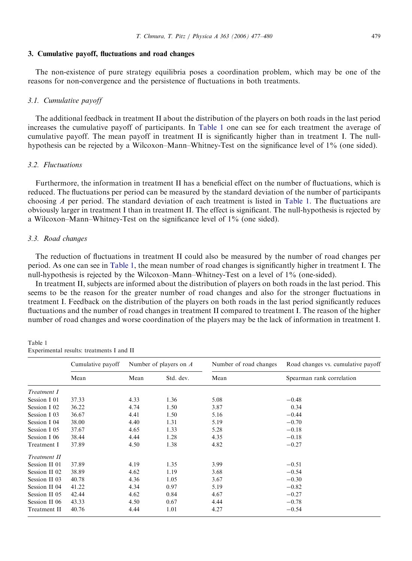#### <span id="page-2-0"></span>3. Cumulative payoff, fluctuations and road changes

The non-existence of pure strategy equilibria poses a coordination problem, which may be one of the reasons for non-convergence and the persistence of fluctuations in both treatments.

## 3.1. Cumulative payoff

The additional feedback in treatment II about the distribution of the players on both roads in the last period increases the cumulative payoff of participants. In Table 1 one can see for each treatment the average of cumulative payoff. The mean payoff in treatment II is significantly higher than in treatment I. The nullhypothesis can be rejected by a Wilcoxon–Mann–Whitney-Test on the significance level of 1% (one sided).

## 3.2. Fluctuations

Furthermore, the information in treatment II has a beneficial effect on the number of fluctuations, which is reduced. The fluctuations per period can be measured by the standard deviation of the number of participants choosing  $\Lambda$  per period. The standard deviation of each treatment is listed in Table 1. The fluctuations are obviously larger in treatment I than in treatment II. The effect is significant. The null-hypothesis is rejected by a Wilcoxon–Mann–Whitney-Test on the significance level of 1% (one sided).

#### 3.3. Road changes

The reduction of fluctuations in treatment II could also be measured by the number of road changes per period. As one can see in Table 1, the mean number of road changes is significantly higher in treatment I. The null-hypothesis is rejected by the Wilcoxon–Mann–Whitney-Test on a level of 1% (one-sided).

In treatment II, subjects are informed about the distribution of players on both roads in the last period. This seems to be the reason for the greater number of road changes and also for the stronger fluctuations in treatment I. Feedback on the distribution of the players on both roads in the last period significantly reduces fluctuations and the number of road changes in treatment II compared to treatment I. The reason of the higher number of road changes and worse coordination of the players may be the lack of information in treatment I.

Table 1 Experimental results: treatments I and II

|               | Cumulative payoff<br>Mean | Number of players on $A$ |           | Number of road changes | Road changes vs. cumulative payoff |
|---------------|---------------------------|--------------------------|-----------|------------------------|------------------------------------|
|               |                           | Mean                     | Std. dev. | Mean                   | Spearman rank correlation          |
| Treatment I   |                           |                          |           |                        |                                    |
| Session I 01  | 37.33                     | 4.33                     | 1.36      | 5.08                   | $-0.48$                            |
| Session I 02  | 36.22                     | 4.74                     | 1.50      | 3.87                   | 0.34                               |
| Session I 03  | 36.67                     | 4.41                     | 1.50      | 5.16                   | $-0.44$                            |
| Session I 04  | 38.00                     | 4.40                     | 1.31      | 5.19                   | $-0.70$                            |
| Session I 05  | 37.67                     | 4.65                     | 1.33      | 5.28                   | $-0.18$                            |
| Session I 06  | 38.44                     | 4.44                     | 1.28      | 4.35                   | $-0.18$                            |
| Treatment I   | 37.89                     | 4.50                     | 1.38      | 4.82                   | $-0.27$                            |
| Treatment II  |                           |                          |           |                        |                                    |
| Session II 01 | 37.89                     | 4.19                     | 1.35      | 3.99                   | $-0.51$                            |
| Session II 02 | 38.89                     | 4.62                     | 1.19      | 3.68                   | $-0.54$                            |
| Session II 03 | 40.78                     | 4.36                     | 1.05      | 3.67                   | $-0.30$                            |
| Session II 04 | 41.22                     | 4.34                     | 0.97      | 5.19                   | $-0.82$                            |
| Session II 05 | 42.44                     | 4.62                     | 0.84      | 4.67                   | $-0.27$                            |
| Session II 06 | 43.33                     | 4.50                     | 0.67      | 4.44                   | $-0.78$                            |
| Treatment II  | 40.76                     | 4.44                     | 1.01      | 4.27                   | $-0.54$                            |